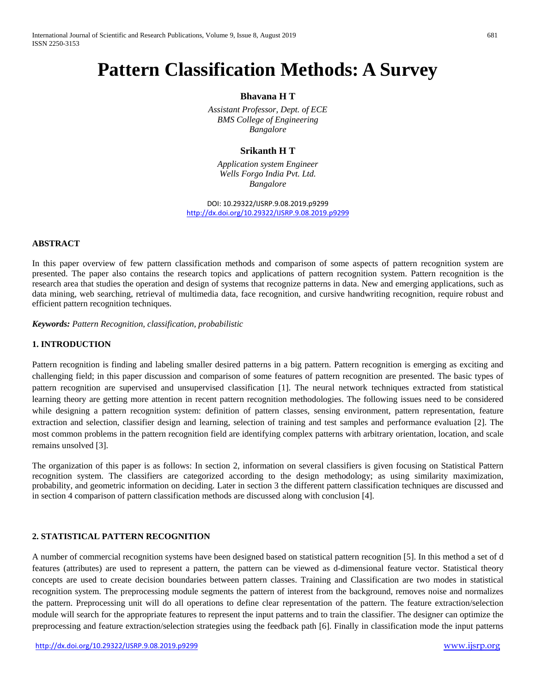# **Pattern Classification Methods: A Survey**

**Bhavana H T**

*Assistant Professor, Dept. of ECE BMS College of Engineering Bangalore*

# **Srikanth H T**

*Application system Engineer Wells Forgo India Pvt. Ltd. Bangalore*

DOI: 10.29322/IJSRP.9.08.2019.p9299 <http://dx.doi.org/10.29322/IJSRP.9.08.2019.p9299>

# **ABSTRACT**

In this paper overview of few pattern classification methods and comparison of some aspects of pattern recognition system are presented. The paper also contains the research topics and applications of pattern recognition system. Pattern recognition is the research area that studies the operation and design of systems that recognize patterns in data. New and emerging applications, such as data mining, web searching, retrieval of multimedia data, face recognition, and cursive handwriting recognition, require robust and efficient pattern recognition techniques.

*Keywords: Pattern Recognition, classification, probabilistic*

#### **1. INTRODUCTION**

Pattern recognition is finding and labeling smaller desired patterns in a big pattern. Pattern recognition is emerging as exciting and challenging field; in this paper discussion and comparison of some features of pattern recognition are presented. The basic types of pattern recognition are supervised and unsupervised classification [1]. The neural network techniques extracted from statistical learning theory are getting more attention in recent pattern recognition methodologies. The following issues need to be considered while designing a pattern recognition system: definition of pattern classes, sensing environment, pattern representation, feature extraction and selection, classifier design and learning, selection of training and test samples and performance evaluation [2]. The most common problems in the pattern recognition field are identifying complex patterns with arbitrary orientation, location, and scale remains unsolved [3].

The organization of this paper is as follows: In section 2, information on several classifiers is given focusing on Statistical Pattern recognition system. The classifiers are categorized according to the design methodology; as using similarity maximization, probability, and geometric information on deciding. Later in section 3 the different pattern classification techniques are discussed and in section 4 comparison of pattern classification methods are discussed along with conclusion [4].

# **2. STATISTICAL PATTERN RECOGNITION**

A number of commercial recognition systems have been designed based on statistical pattern recognition [5]. In this method a set of d features (attributes) are used to represent a pattern, the pattern can be viewed as d-dimensional feature vector. Statistical theory concepts are used to create decision boundaries between pattern classes. Training and Classification are two modes in statistical recognition system. The preprocessing module segments the pattern of interest from the background, removes noise and normalizes the pattern. Preprocessing unit will do all operations to define clear representation of the pattern. The feature extraction/selection module will search for the appropriate features to represent the input patterns and to train the classifier. The designer can optimize the preprocessing and feature extraction/selection strategies using the feedback path [6]. Finally in classification mode the input patterns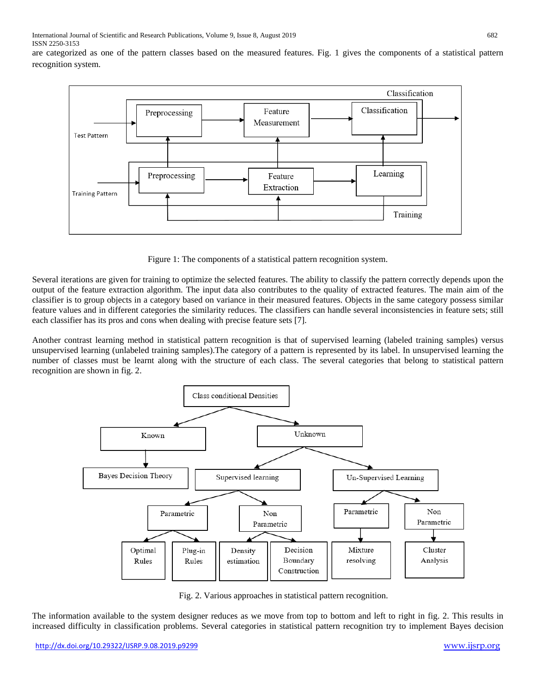International Journal of Scientific and Research Publications, Volume 9, Issue 8, August 2019 682 ISSN 2250-3153

are categorized as one of the pattern classes based on the measured features. Fig. 1 gives the components of a statistical pattern recognition system.



Figure 1: The components of a statistical pattern recognition system.

Several iterations are given for training to optimize the selected features. The ability to classify the pattern correctly depends upon the output of the feature extraction algorithm. The input data also contributes to the quality of extracted features. The main aim of the classifier is to group objects in a category based on variance in their measured features. Objects in the same category possess similar feature values and in different categories the similarity reduces. The classifiers can handle several inconsistencies in feature sets; still each classifier has its pros and cons when dealing with precise feature sets [7].

Another contrast learning method in statistical pattern recognition is that of supervised learning (labeled training samples) versus unsupervised learning (unlabeled training samples).The category of a pattern is represented by its label. In unsupervised learning the number of classes must be learnt along with the structure of each class. The several categories that belong to statistical pattern recognition are shown in fig. 2.



Fig. 2. Various approaches in statistical pattern recognition.

The information available to the system designer reduces as we move from top to bottom and left to right in fig. 2. This results in increased difficulty in classification problems. Several categories in statistical pattern recognition try to implement Bayes decision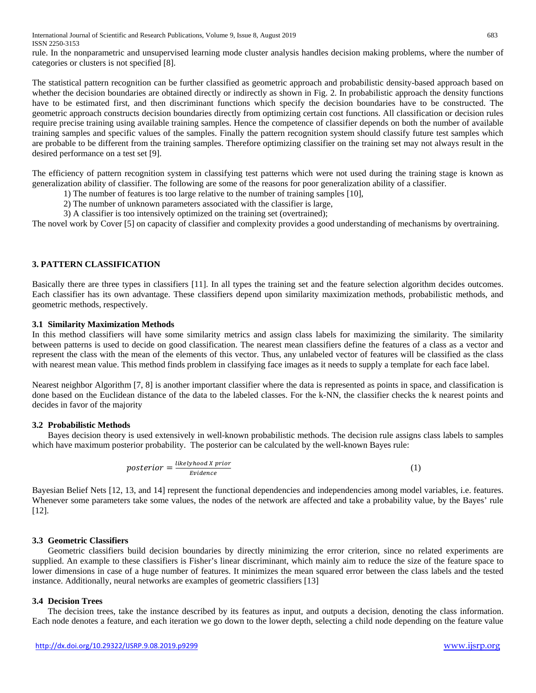rule. In the nonparametric and unsupervised learning mode cluster analysis handles decision making problems, where the number of categories or clusters is not specified [8].

The statistical pattern recognition can be further classified as geometric approach and probabilistic density-based approach based on whether the decision boundaries are obtained directly or indirectly as shown in Fig. 2. In probabilistic approach the density functions have to be estimated first, and then discriminant functions which specify the decision boundaries have to be constructed. The geometric approach constructs decision boundaries directly from optimizing certain cost functions. All classification or decision rules require precise training using available training samples. Hence the competence of classifier depends on both the number of available training samples and specific values of the samples. Finally the pattern recognition system should classify future test samples which are probable to be different from the training samples. Therefore optimizing classifier on the training set may not always result in the desired performance on a test set [9].

The efficiency of pattern recognition system in classifying test patterns which were not used during the training stage is known as generalization ability of classifier. The following are some of the reasons for poor generalization ability of a classifier.

- 1) The number of features is too large relative to the number of training samples [10],
- 2) The number of unknown parameters associated with the classifier is large,
- 3) A classifier is too intensively optimized on the training set (overtrained);

The novel work by Cover [5] on capacity of classifier and complexity provides a good understanding of mechanisms by overtraining.

# **3. PATTERN CLASSIFICATION**

Basically there are three types in classifiers [11]. In all types the training set and the feature selection algorithm decides outcomes. Each classifier has its own advantage. These classifiers depend upon similarity maximization methods, probabilistic methods, and geometric methods, respectively.

#### **3.1 Similarity Maximization Methods**

In this method classifiers will have some similarity metrics and assign class labels for maximizing the similarity. The similarity between patterns is used to decide on good classification. The nearest mean classifiers define the features of a class as a vector and represent the class with the mean of the elements of this vector. Thus, any unlabeled vector of features will be classified as the class with nearest mean value. This method finds problem in classifying face images as it needs to supply a template for each face label.

Nearest neighbor Algorithm [7, 8] is another important classifier where the data is represented as points in space, and classification is done based on the Euclidean distance of the data to the labeled classes. For the k-NN, the classifier checks the k nearest points and decides in favor of the majority

#### **3.2 Probabilistic Methods**

Bayes decision theory is used extensively in well-known probabilistic methods. The decision rule assigns class labels to samples which have maximum posterior probability. The posterior can be calculated by the well-known Bayes rule:

$$
posterior = \frac{likelihood X prior}{Evidence}
$$
 (1)

Bayesian Belief Nets [12, 13, and 14] represent the functional dependencies and independencies among model variables, i.e. features. Whenever some parameters take some values, the nodes of the network are affected and take a probability value, by the Bayes' rule [12].

### **3.3 Geometric Classifiers**

Geometric classifiers build decision boundaries by directly minimizing the error criterion, since no related experiments are supplied. An example to these classifiers is Fisher's linear discriminant, which mainly aim to reduce the size of the feature space to lower dimensions in case of a huge number of features. It minimizes the mean squared error between the class labels and the tested instance. Additionally, neural networks are examples of geometric classifiers [13]

#### **3.4 Decision Trees**

The decision trees, take the instance described by its features as input, and outputs a decision, denoting the class information. Each node denotes a feature, and each iteration we go down to the lower depth, selecting a child node depending on the feature value